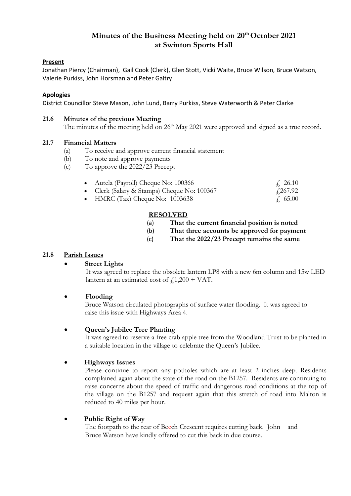# **Minutes of the Business Meeting held on 20th October 2021 at Swinton Sports Hall**

# **Present**

Jonathan Piercy (Chairman), Gail Cook (Clerk), Glen Stott, Vicki Waite, Bruce Wilson, Bruce Watson, Valerie Purkiss, John Horsman and Peter Galtry

#### **Apologies**

District Councillor Steve Mason, John Lund, Barry Purkiss, Steve Waterworth & Peter Clarke

#### **21.6 Minutes of the previous Meeting**

The minutes of the meeting held on 26<sup>th</sup> May 2021 were approved and signed as a true record.

#### **21.7 Financial Matters**

- (a) To receive and approve current financial statement
- (b) To note and approve payments
- (c) To approve the 2022/23 Precept

| Autela (Payroll) Cheque No: 100366          | f. 26.10        |
|---------------------------------------------|-----------------|
| • Clerk (Salary & Stamps) Cheque No: 100367 | $\sqrt{267.92}$ |

• Citin (Salary & Stamps) Cheque 130. 1003638

### **RESOLVED**

- (a) **That the current financial position is noted**
	- (b) **That three accounts be approved for payment**
- (c) **That the 2022/23 Precept remains the same**

#### **21.8 Parish Issues**

# **Street Lights**

It was agreed to replace the obsolete lantern LP8 with a new 6m column and 15w LED lantern at an estimated cost of  $f1,200 + \text{VAT}$ .

• **Flooding**

Bruce Watson circulated photographs of surface water flooding. It was agreed to raise this issue with Highways Area 4.

#### • **Queen's Jubilee Tree Planting**

It was agreed to reserve a free crab apple tree from the Woodland Trust to be planted in a suitable location in the village to celebrate the Queen's Jubilee.

# • **Highways Issues**

Please continue to report any potholes which are at least 2 inches deep. Residents complained again about the state of the road on the B1257. Residents are continuing to raise concerns about the speed of traffic and dangerous road conditions at the top of the village on the B1257 and request again that this stretch of road into Malton is reduced to 40 miles per hour.

# • **Public Right of Way**

The footpath to the rear of Beech Crescent requires cutting back. John and Bruce Watson have kindly offered to cut this back in due course.